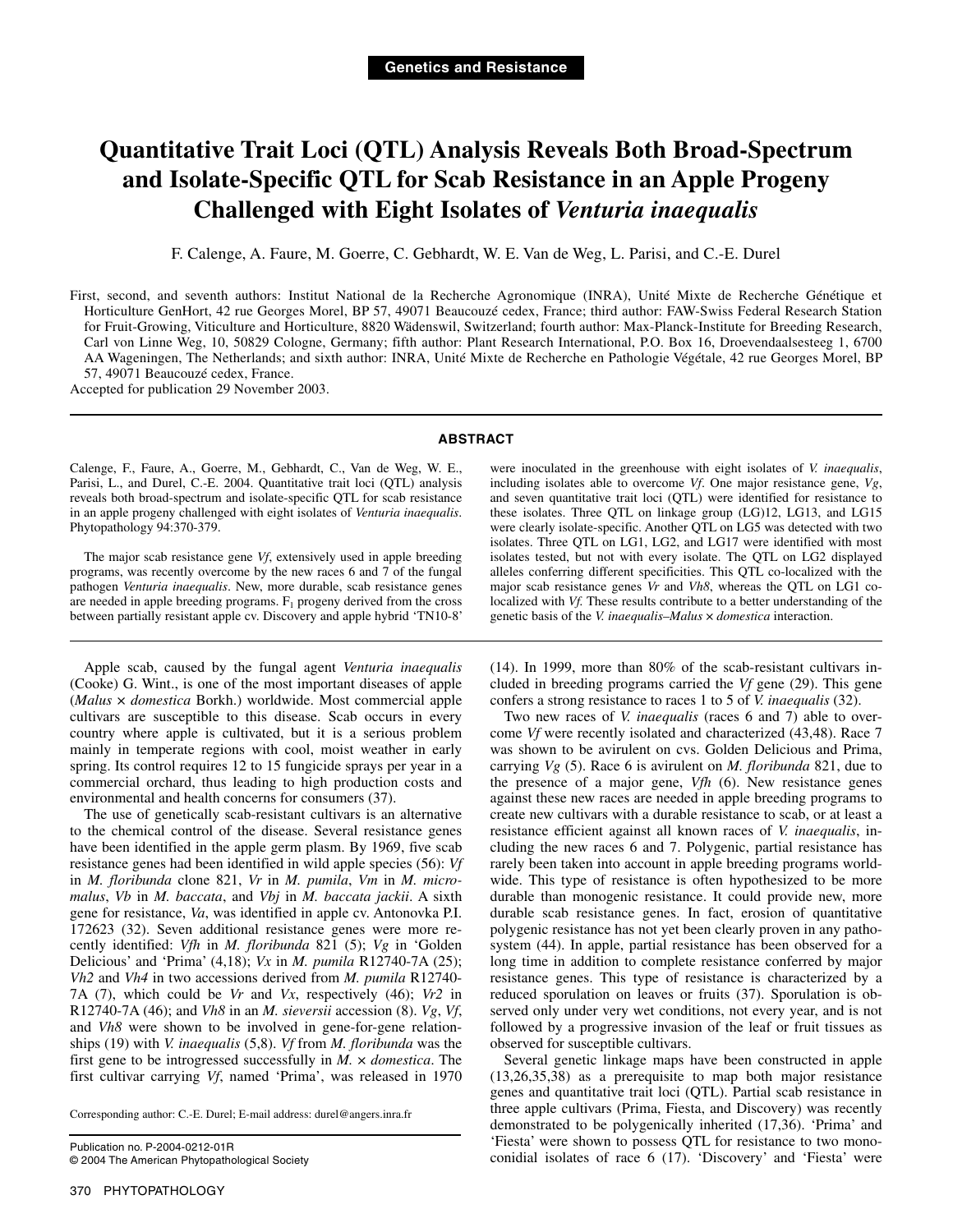# **Quantitative Trait Loci (QTL) Analysis Reveals Both Broad-Spectrum and Isolate-Specific QTL for Scab Resistance in an Apple Progeny Challenged with Eight Isolates of** *Venturia inaequalis*

F. Calenge, A. Faure, M. Goerre, C. Gebhardt, W. E. Van de Weg, L. Parisi, and C.-E. Durel

First, second, and seventh authors: Institut National de la Recherche Agronomique (INRA), Unité Mixte de Recherche Génétique et Horticulture GenHort, 42 rue Georges Morel, BP 57, 49071 Beaucouzé cedex, France; third author: FAW-Swiss Federal Research Station for Fruit-Growing, Viticulture and Horticulture, 8820 Wädenswil, Switzerland; fourth author: Max-Planck-Institute for Breeding Research, Carl von Linne Weg, 10, 50829 Cologne, Germany; fifth author: Plant Research International, P.O. Box 16, Droevendaalsesteeg 1, 6700 AA Wageningen, The Netherlands; and sixth author: INRA, Unité Mixte de Recherche en Pathologie Végétale, 42 rue Georges Morel, BP 57, 49071 Beaucouzé cedex, France. Accepted for publication 29 November 2003.

**ABSTRACT** 

Calenge, F., Faure, A., Goerre, M., Gebhardt, C., Van de Weg, W. E., Parisi, L., and Durel, C.-E. 2004. Quantitative trait loci (QTL) analysis reveals both broad-spectrum and isolate-specific QTL for scab resistance in an apple progeny challenged with eight isolates of *Venturia inaequalis*. Phytopathology 94:370-379.

The major scab resistance gene *Vf*, extensively used in apple breeding programs, was recently overcome by the new races 6 and 7 of the fungal pathogen *Venturia inaequalis*. New, more durable, scab resistance genes are needed in apple breeding programs.  $F_1$  progeny derived from the cross between partially resistant apple cv. Discovery and apple hybrid 'TN10-8'

Apple scab, caused by the fungal agent *Venturia inaequalis*  (Cooke) G. Wint., is one of the most important diseases of apple (*Malus* × *domestica* Borkh.) worldwide. Most commercial apple cultivars are susceptible to this disease. Scab occurs in every country where apple is cultivated, but it is a serious problem mainly in temperate regions with cool, moist weather in early spring. Its control requires 12 to 15 fungicide sprays per year in a commercial orchard, thus leading to high production costs and environmental and health concerns for consumers (37).

The use of genetically scab-resistant cultivars is an alternative to the chemical control of the disease. Several resistance genes have been identified in the apple germ plasm. By 1969, five scab resistance genes had been identified in wild apple species (56): *Vf*  in *M. floribunda* clone 821, *Vr* in *M. pumila*, *Vm* in *M. micromalus*, *Vb* in *M. baccata*, and *Vbj* in *M. baccata jackii*. A sixth gene for resistance, *Va*, was identified in apple cv. Antonovka P.I. 172623 (32). Seven additional resistance genes were more recently identified: *Vfh* in *M. floribunda* 821 (5); *Vg* in 'Golden Delicious' and 'Prima' (4,18); *Vx* in *M. pumila* R12740-7A (25); *Vh2* and *Vh4* in two accessions derived from *M. pumila* R12740- 7A (7), which could be *Vr* and *Vx*, respectively (46); *Vr2* in R12740-7A (46); and *Vh8* in an *M. sieversii* accession (8). *Vg*, *Vf*, and *Vh8* were shown to be involved in gene-for-gene relationships (19) with *V. inaequalis* (5,8). *Vf* from *M. floribunda* was the first gene to be introgressed successfully in *M.* × *domestica*. The first cultivar carrying *Vf*, named 'Prima', was released in 1970

Corresponding author: C.-E. Durel; E-mail address: durel@angers.inra.fr

Publication no. P-2004-0212-01R © 2004 The American Phytopathological Society were inoculated in the greenhouse with eight isolates of *V. inaequalis*, including isolates able to overcome *Vf*. One major resistance gene, *Vg*, and seven quantitative trait loci (QTL) were identified for resistance to these isolates. Three QTL on linkage group (LG)12, LG13, and LG15 were clearly isolate-specific. Another QTL on LG5 was detected with two isolates. Three QTL on LG1, LG2, and LG17 were identified with most isolates tested, but not with every isolate. The QTL on LG2 displayed alleles conferring different specificities. This QTL co-localized with the major scab resistance genes *Vr* and *Vh8*, whereas the QTL on LG1 colocalized with *Vf.* These results contribute to a better understanding of the genetic basis of the *V. inaequalis*–*Malus* × *domestica* interaction.

(14). In 1999, more than 80% of the scab-resistant cultivars included in breeding programs carried the *Vf* gene (29). This gene confers a strong resistance to races 1 to 5 of *V. inaequalis* (32).

Two new races of *V. inaequalis* (races 6 and 7) able to overcome *Vf* were recently isolated and characterized (43,48). Race 7 was shown to be avirulent on cvs. Golden Delicious and Prima, carrying *Vg* (5). Race 6 is avirulent on *M. floribunda* 821, due to the presence of a major gene, *Vfh* (6). New resistance genes against these new races are needed in apple breeding programs to create new cultivars with a durable resistance to scab, or at least a resistance efficient against all known races of *V. inaequalis*, including the new races 6 and 7. Polygenic, partial resistance has rarely been taken into account in apple breeding programs worldwide. This type of resistance is often hypothesized to be more durable than monogenic resistance. It could provide new, more durable scab resistance genes. In fact, erosion of quantitative polygenic resistance has not yet been clearly proven in any pathosystem (44). In apple, partial resistance has been observed for a long time in addition to complete resistance conferred by major resistance genes. This type of resistance is characterized by a reduced sporulation on leaves or fruits (37). Sporulation is observed only under very wet conditions, not every year, and is not followed by a progressive invasion of the leaf or fruit tissues as observed for susceptible cultivars.

Several genetic linkage maps have been constructed in apple (13,26,35,38) as a prerequisite to map both major resistance genes and quantitative trait loci (QTL). Partial scab resistance in three apple cultivars (Prima, Fiesta, and Discovery) was recently demonstrated to be polygenically inherited (17,36). 'Prima' and 'Fiesta' were shown to possess QTL for resistance to two monoconidial isolates of race 6 (17). 'Discovery' and 'Fiesta' were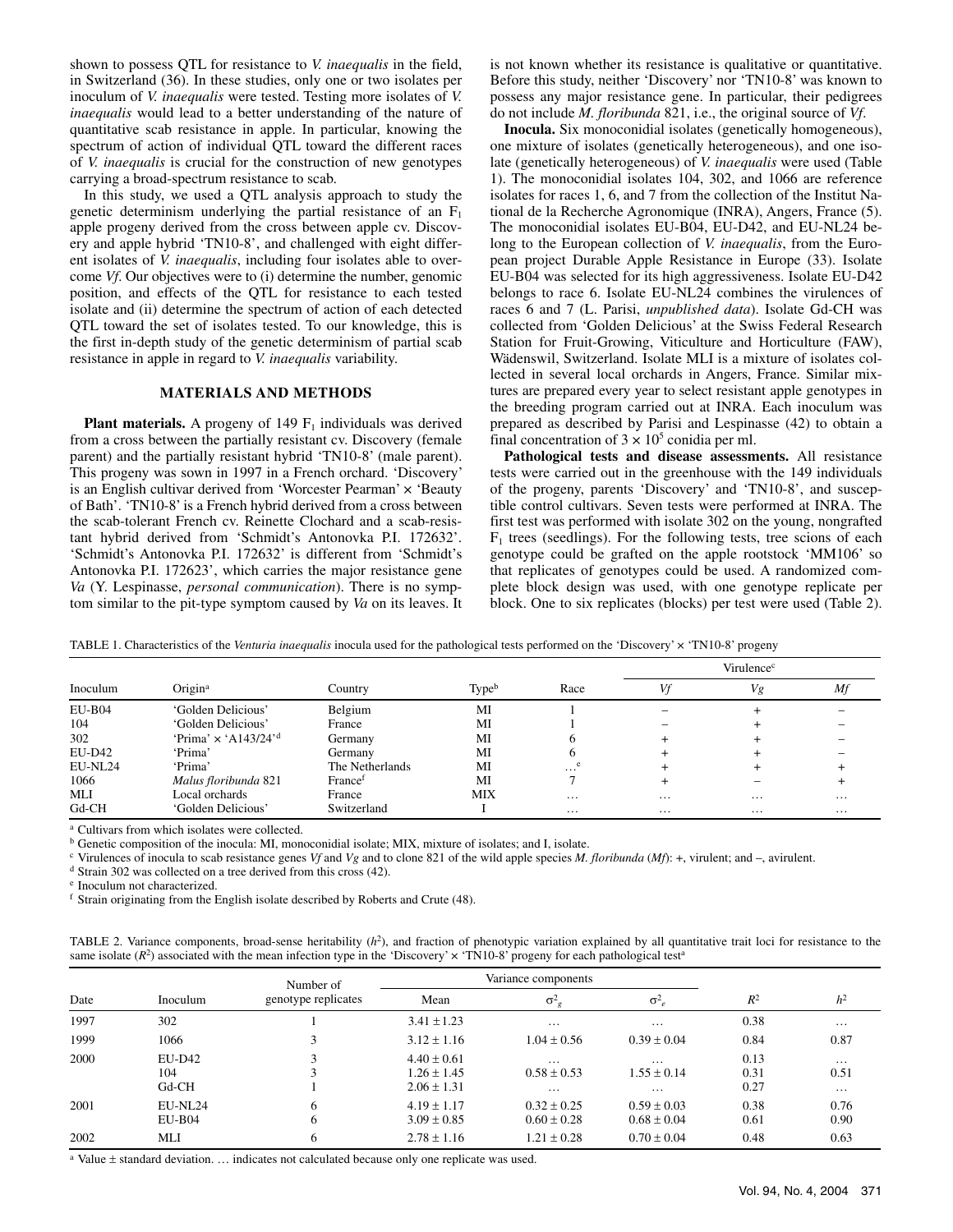shown to possess QTL for resistance to *V. inaequalis* in the field, in Switzerland (36). In these studies, only one or two isolates per inoculum of *V. inaequalis* were tested. Testing more isolates of *V. inaequalis* would lead to a better understanding of the nature of quantitative scab resistance in apple. In particular, knowing the spectrum of action of individual QTL toward the different races of *V. inaequalis* is crucial for the construction of new genotypes carrying a broad-spectrum resistance to scab.

In this study, we used a QTL analysis approach to study the genetic determinism underlying the partial resistance of an  $F_1$ apple progeny derived from the cross between apple cv. Discovery and apple hybrid 'TN10-8', and challenged with eight different isolates of *V. inaequalis*, including four isolates able to overcome *Vf*. Our objectives were to (i) determine the number, genomic position, and effects of the QTL for resistance to each tested isolate and (ii) determine the spectrum of action of each detected QTL toward the set of isolates tested. To our knowledge, this is the first in-depth study of the genetic determinism of partial scab resistance in apple in regard to *V. inaequalis* variability.

## **MATERIALS AND METHODS**

**Plant materials.** A progeny of 149  $F_1$  individuals was derived from a cross between the partially resistant cv. Discovery (female parent) and the partially resistant hybrid 'TN10-8' (male parent). This progeny was sown in 1997 in a French orchard. 'Discovery' is an English cultivar derived from 'Worcester Pearman' x 'Beauty of Bath'. 'TN10-8' is a French hybrid derived from a cross between the scab-tolerant French cv. Reinette Clochard and a scab-resistant hybrid derived from 'Schmidt's Antonovka P.I. 172632'. 'Schmidt's Antonovka P.I. 172632' is different from 'Schmidt's Antonovka P.I. 172623', which carries the major resistance gene *Va* (Y. Lespinasse, *personal communication*). There is no symptom similar to the pit-type symptom caused by *Va* on its leaves. It is not known whether its resistance is qualitative or quantitative. Before this study, neither 'Discovery' nor 'TN10-8' was known to possess any major resistance gene. In particular, their pedigrees do not include *M. floribunda* 821, i.e., the original source of *Vf*.

**Inocula.** Six monoconidial isolates (genetically homogeneous), one mixture of isolates (genetically heterogeneous), and one isolate (genetically heterogeneous) of *V. inaequalis* were used (Table 1). The monoconidial isolates 104, 302, and 1066 are reference isolates for races 1, 6, and 7 from the collection of the Institut National de la Recherche Agronomique (INRA), Angers, France (5). The monoconidial isolates EU-B04, EU-D42, and EU-NL24 belong to the European collection of *V. inaequalis*, from the European project Durable Apple Resistance in Europe (33). Isolate EU-B04 was selected for its high aggressiveness. Isolate EU-D42 belongs to race 6. Isolate EU-NL24 combines the virulences of races 6 and 7 (L. Parisi, *unpublished data*). Isolate Gd-CH was collected from 'Golden Delicious' at the Swiss Federal Research Station for Fruit-Growing, Viticulture and Horticulture (FAW), Wädenswil, Switzerland. Isolate MLI is a mixture of isolates collected in several local orchards in Angers, France. Similar mixtures are prepared every year to select resistant apple genotypes in the breeding program carried out at INRA. Each inoculum was prepared as described by Parisi and Lespinasse (42) to obtain a final concentration of  $3 \times 10^5$  conidia per ml.

**Pathological tests and disease assessments.** All resistance tests were carried out in the greenhouse with the 149 individuals of the progeny, parents 'Discovery' and 'TN10-8', and susceptible control cultivars. Seven tests were performed at INRA. The first test was performed with isolate 302 on the young, nongrafted  $F_1$  trees (seedlings). For the following tests, tree scions of each genotype could be grafted on the apple rootstock 'MM106' so that replicates of genotypes could be used. A randomized complete block design was used, with one genotype replicate per block. One to six replicates (blocks) per test were used (Table 2).

|          |                                         |                     |            |          | Virulence <sup>c</sup> |          |          |  |
|----------|-----------------------------------------|---------------------|------------|----------|------------------------|----------|----------|--|
| Inoculum | Origin <sup>a</sup>                     | Country             | Typeb      | Race     |                        | Vg       | Мf       |  |
| $EU-B04$ | 'Golden Delicious'                      | Belgium             | MI         |          |                        |          |          |  |
| 104      | 'Golden Delicious'                      | France              | MI         |          |                        |          |          |  |
| 302      | 'Prima' $\times$ 'A143/24' <sup>d</sup> | Germany             | MI         |          |                        |          |          |  |
| EU-D42   | 'Prima'                                 | Germany             | MI         |          |                        |          |          |  |
| EU-NL24  | 'Prima'                                 | The Netherlands     | MI         | $\cdots$ |                        |          |          |  |
| 1066     | Malus floribunda 821                    | France <sup>t</sup> | MI         |          |                        |          |          |  |
| MLI      | Local orchards                          | France              | <b>MIX</b> | $\cdots$ | $\cdots$               | $\cdots$ | $\cdots$ |  |
| $Gd$ -CH | 'Golden Delicious'                      | Switzerland         |            | $\cdots$ | $\cdots$               | $\cdots$ | $\cdots$ |  |

TABLE 1. Characteristics of the *Venturia inaequalis* inocula used for the pathological tests performed on the 'Discovery' × 'TN10-8' progeny

 $^a$  Cultivars from which isolates were collected.<br> $^b$  Genetic composition of the inocula: MI, monoconidial isolate; MIX, mixture of isolates; and I, isolate.

<sup>c</sup> Virulences of inocula to scab resistance genes *Vf* and *Vg* and to clone 821 of the wild apple species *M. floribunda* (*Mf*): +, virulent; and –, avirulent.<br><sup>d</sup> Strain 302 was collected on a tree derived from this c

e Inoculum not characterized.

f Strain originating from the English isolate described by Roberts and Crute (48).

TABLE 2. Variance components, broad-sense heritability (*h*2), and fraction of phenotypic variation explained by all quantitative trait loci for resistance to the same isolate  $(R^2)$  associated with the mean infection type in the 'Discovery'  $\times$  'TN10-8' progeny for each pathological test<sup>a</sup>

|      |           | Number of<br>genotype replicates |                 | Variance components   |                  |       |                |
|------|-----------|----------------------------------|-----------------|-----------------------|------------------|-------|----------------|
| Date | Inoculum  |                                  | Mean            | $\sigma$ <sup>2</sup> | $\sigma_{e}^{2}$ | $R^2$ | h <sup>2</sup> |
| 1997 | 302       |                                  | $3.41 \pm 1.23$ | $\cdots$              | $\cdots$         | 0.38  | $\cdots$       |
| 1999 | 1066      | 3                                | $3.12 \pm 1.16$ | $1.04 \pm 0.56$       | $0.39 \pm 0.04$  | 0.84  | 0.87           |
| 2000 | $E$ U-D42 | 3                                | $4.40 \pm 0.61$ | $\cdots$              | $\cdots$         | 0.13  | $\cdots$       |
|      | 104       |                                  | $1.26 + 1.45$   | $0.58 \pm 0.53$       | $1.55 + 0.14$    | 0.31  | 0.51           |
|      | $Gd$ -CH  |                                  | $2.06 \pm 1.31$ | $\cdots$              | $\cdots$         | 0.27  | $\cdots$       |
| 2001 | EU-NL24   | 6                                | $4.19 + 1.17$   | $0.32 + 0.25$         | $0.59 + 0.03$    | 0.38  | 0.76           |
|      | $EU-B04$  | 6                                | $3.09 \pm 0.85$ | $0.60 \pm 0.28$       | $0.68 \pm 0.04$  | 0.61  | 0.90           |
| 2002 | MLI       | 6                                | $2.78 \pm 1.16$ | $1.21 \pm 0.28$       | $0.70 \pm 0.04$  | 0.48  | 0.63           |

<sup>a</sup> Value  $\pm$  standard deviation. ... indicates not calculated because only one replicate was used.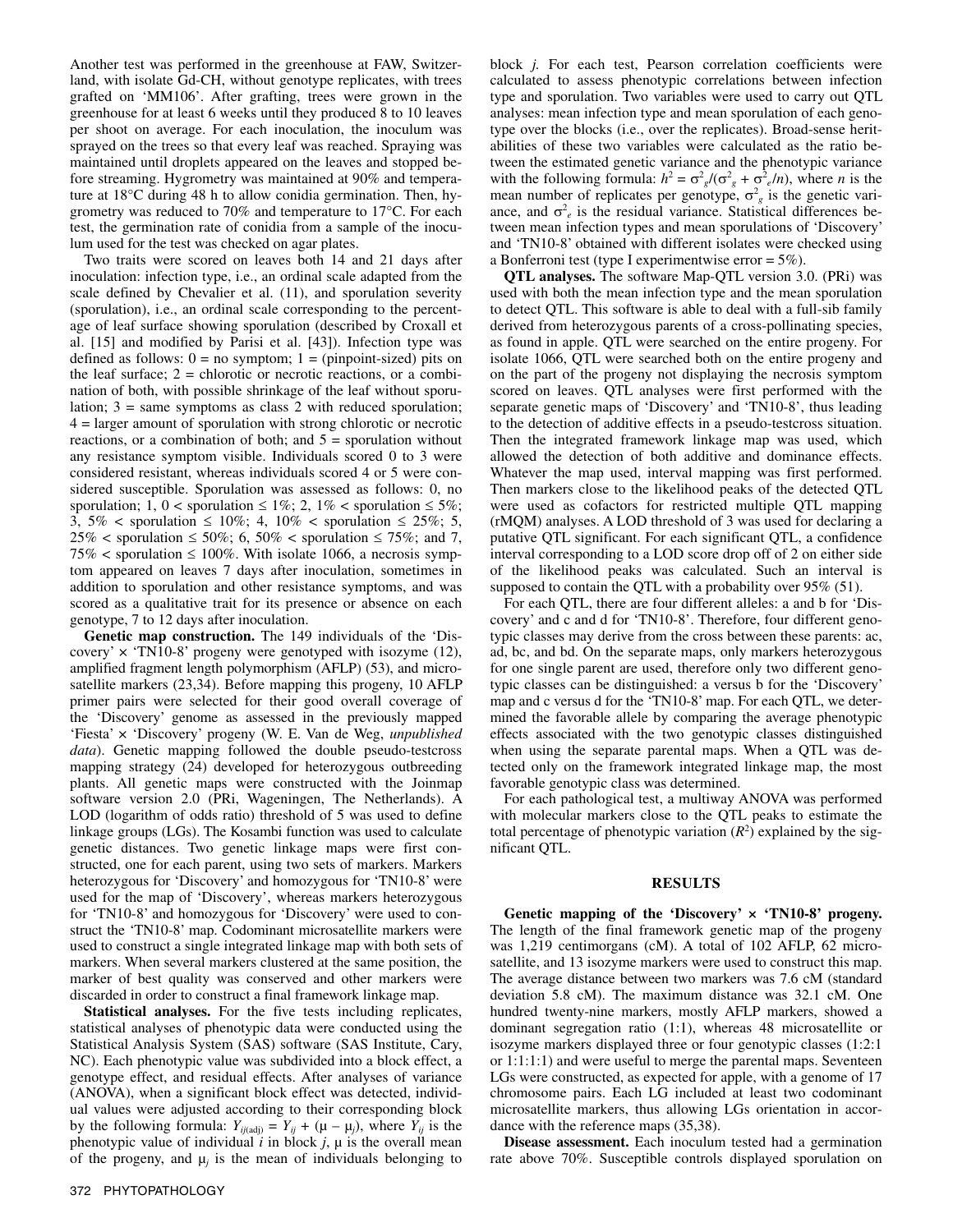Another test was performed in the greenhouse at FAW, Switzerland, with isolate Gd-CH, without genotype replicates, with trees grafted on 'MM106'. After grafting, trees were grown in the greenhouse for at least 6 weeks until they produced 8 to 10 leaves per shoot on average. For each inoculation, the inoculum was sprayed on the trees so that every leaf was reached. Spraying was maintained until droplets appeared on the leaves and stopped before streaming. Hygrometry was maintained at 90% and temperature at 18°C during 48 h to allow conidia germination. Then, hygrometry was reduced to 70% and temperature to 17°C. For each test, the germination rate of conidia from a sample of the inoculum used for the test was checked on agar plates.

Two traits were scored on leaves both 14 and 21 days after inoculation: infection type, i.e., an ordinal scale adapted from the scale defined by Chevalier et al. (11), and sporulation severity (sporulation), i.e., an ordinal scale corresponding to the percentage of leaf surface showing sporulation (described by Croxall et al. [15] and modified by Parisi et al. [43]). Infection type was defined as follows:  $0 = no$  symptom;  $1 = (pinpoint-sized)$  pits on the leaf surface;  $2 =$  chlorotic or necrotic reactions, or a combination of both, with possible shrinkage of the leaf without sporulation;  $3 =$  same symptoms as class 2 with reduced sporulation; 4 = larger amount of sporulation with strong chlorotic or necrotic reactions, or a combination of both; and  $5 =$  sporulation without any resistance symptom visible. Individuals scored 0 to 3 were considered resistant, whereas individuals scored 4 or 5 were considered susceptible. Sporulation was assessed as follows: 0, no sporulation; 1, 0 < sporulation  $\leq 1\%$ ; 2, 1% < sporulation  $\leq 5\%$ ; 3,  $5\%$  < sporulation  $\leq 10\%$ ; 4,  $10\%$  < sporulation  $\leq 25\%$ ; 5,  $25\%$  < sporulation  $\leq 50\%$ ; 6, 50% < sporulation  $\leq 75\%$ ; and 7, 75%  $\lt$  sporulation  $\leq 100\%$ . With isolate 1066, a necrosis symptom appeared on leaves 7 days after inoculation, sometimes in addition to sporulation and other resistance symptoms, and was scored as a qualitative trait for its presence or absence on each genotype, 7 to 12 days after inoculation.

**Genetic map construction.** The 149 individuals of the 'Discovery'  $\times$  'TN10-8' progeny were genotyped with isozyme (12), amplified fragment length polymorphism (AFLP) (53), and microsatellite markers (23,34). Before mapping this progeny, 10 AFLP primer pairs were selected for their good overall coverage of the 'Discovery' genome as assessed in the previously mapped 'Fiesta' × 'Discovery' progeny (W. E. Van de Weg, *unpublished data*). Genetic mapping followed the double pseudo-testcross mapping strategy (24) developed for heterozygous outbreeding plants. All genetic maps were constructed with the Joinmap software version 2.0 (PRi, Wageningen, The Netherlands). A LOD (logarithm of odds ratio) threshold of 5 was used to define linkage groups (LGs). The Kosambi function was used to calculate genetic distances. Two genetic linkage maps were first constructed, one for each parent, using two sets of markers. Markers heterozygous for 'Discovery' and homozygous for 'TN10-8' were used for the map of 'Discovery', whereas markers heterozygous for 'TN10-8' and homozygous for 'Discovery' were used to construct the 'TN10-8' map. Codominant microsatellite markers were used to construct a single integrated linkage map with both sets of markers. When several markers clustered at the same position, the marker of best quality was conserved and other markers were discarded in order to construct a final framework linkage map.

**Statistical analyses.** For the five tests including replicates, statistical analyses of phenotypic data were conducted using the Statistical Analysis System (SAS) software (SAS Institute, Cary, NC). Each phenotypic value was subdivided into a block effect, a genotype effect, and residual effects. After analyses of variance (ANOVA), when a significant block effect was detected, individual values were adjusted according to their corresponding block by the following formula:  $Y_{ij(\text{adj})} = Y_{ij} + (\mu - \mu_j)$ , where  $Y_{ij}$  is the phenotypic value of individual  $i$  in block  $j$ ,  $\mu$  is the overall mean of the progeny, and  $\mu_i$  is the mean of individuals belonging to

block *j*. For each test, Pearson correlation coefficients were calculated to assess phenotypic correlations between infection type and sporulation. Two variables were used to carry out QTL analyses: mean infection type and mean sporulation of each genotype over the blocks (i.e., over the replicates). Broad-sense heritabilities of these two variables were calculated as the ratio between the estimated genetic variance and the phenotypic variance with the following formula:  $h^2 = \sigma_{g}^2/(\sigma_{g}^2 + \sigma_{e}^2/n)$ , where *n* is the mean number of replicates per genotype,  $\sigma_{g}^{2}$  is the genetic variance, and  $\sigma_e^2$  is the residual variance. Statistical differences between mean infection types and mean sporulations of 'Discovery' and 'TN10-8' obtained with different isolates were checked using a Bonferroni test (type I experimentwise error = 5%).

**QTL analyses.** The software Map-QTL version 3.0. (PRi) was used with both the mean infection type and the mean sporulation to detect QTL. This software is able to deal with a full-sib family derived from heterozygous parents of a cross-pollinating species, as found in apple. QTL were searched on the entire progeny. For isolate 1066, QTL were searched both on the entire progeny and on the part of the progeny not displaying the necrosis symptom scored on leaves. QTL analyses were first performed with the separate genetic maps of 'Discovery' and 'TN10-8', thus leading to the detection of additive effects in a pseudo-testcross situation. Then the integrated framework linkage map was used, which allowed the detection of both additive and dominance effects. Whatever the map used, interval mapping was first performed. Then markers close to the likelihood peaks of the detected QTL were used as cofactors for restricted multiple QTL mapping (rMQM) analyses. A LOD threshold of 3 was used for declaring a putative QTL significant. For each significant QTL, a confidence interval corresponding to a LOD score drop off of 2 on either side of the likelihood peaks was calculated. Such an interval is supposed to contain the QTL with a probability over 95% (51).

For each QTL, there are four different alleles: a and b for 'Discovery' and c and d for 'TN10-8'. Therefore, four different genotypic classes may derive from the cross between these parents: ac, ad, bc, and bd. On the separate maps, only markers heterozygous for one single parent are used, therefore only two different genotypic classes can be distinguished: a versus b for the 'Discovery' map and c versus d for the 'TN10-8' map. For each QTL, we determined the favorable allele by comparing the average phenotypic effects associated with the two genotypic classes distinguished when using the separate parental maps. When a QTL was detected only on the framework integrated linkage map, the most favorable genotypic class was determined.

For each pathological test, a multiway ANOVA was performed with molecular markers close to the QTL peaks to estimate the total percentage of phenotypic variation  $(R^2)$  explained by the significant QTL.

#### **RESULTS**

Genetic mapping of the 'Discovery'  $\times$  'TN10-8' progeny. The length of the final framework genetic map of the progeny was 1,219 centimorgans (cM). A total of 102 AFLP, 62 microsatellite, and 13 isozyme markers were used to construct this map. The average distance between two markers was 7.6 cM (standard deviation 5.8 cM). The maximum distance was 32.1 cM. One hundred twenty-nine markers, mostly AFLP markers, showed a dominant segregation ratio (1:1), whereas 48 microsatellite or isozyme markers displayed three or four genotypic classes (1:2:1 or 1:1:1:1) and were useful to merge the parental maps. Seventeen LGs were constructed, as expected for apple, with a genome of 17 chromosome pairs. Each LG included at least two codominant microsatellite markers, thus allowing LGs orientation in accordance with the reference maps (35,38).

**Disease assessment.** Each inoculum tested had a germination rate above 70%. Susceptible controls displayed sporulation on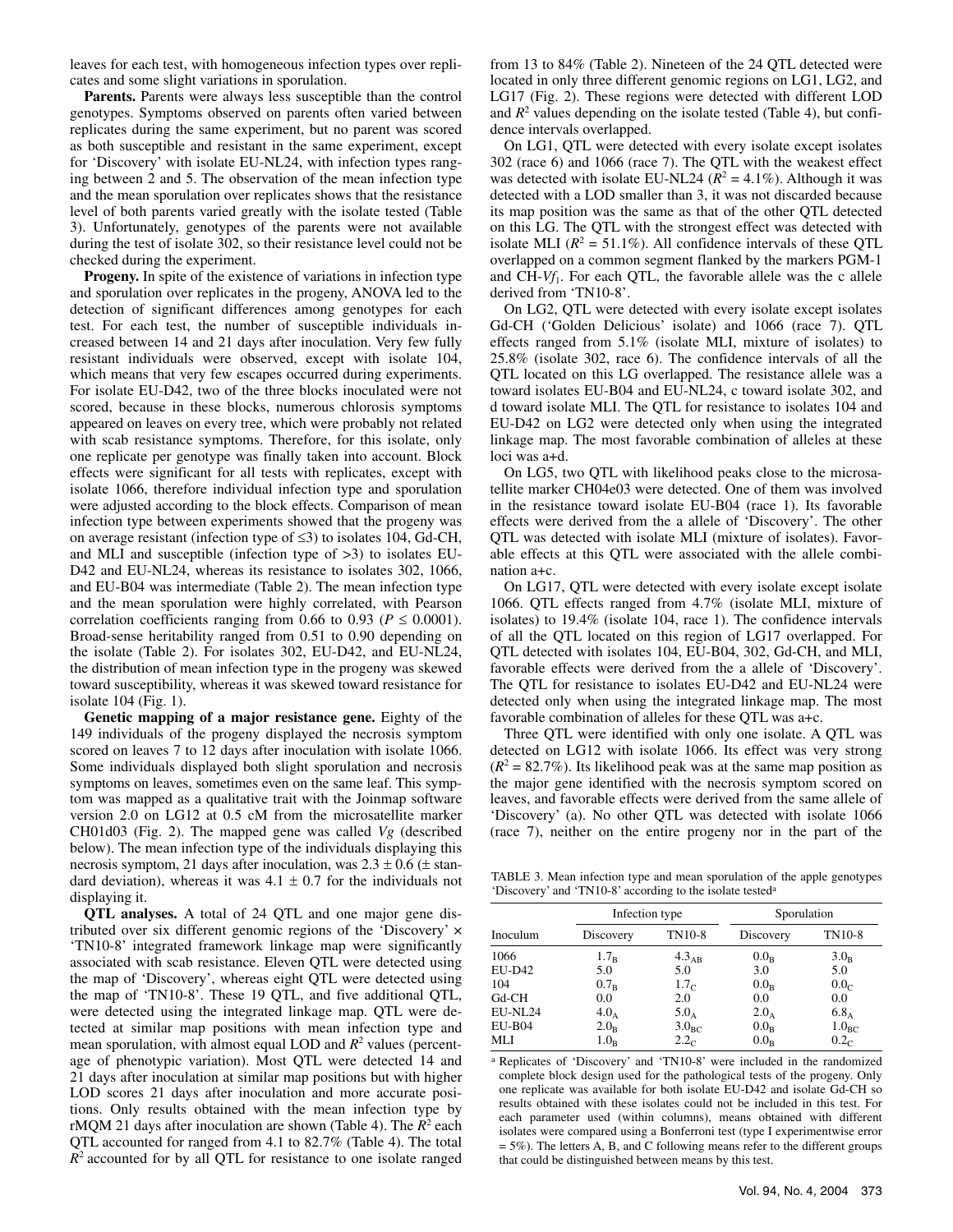leaves for each test, with homogeneous infection types over replicates and some slight variations in sporulation.

**Parents.** Parents were always less susceptible than the control genotypes. Symptoms observed on parents often varied between replicates during the same experiment, but no parent was scored as both susceptible and resistant in the same experiment, except for 'Discovery' with isolate EU-NL24, with infection types ranging between 2 and 5. The observation of the mean infection type and the mean sporulation over replicates shows that the resistance level of both parents varied greatly with the isolate tested (Table 3). Unfortunately, genotypes of the parents were not available during the test of isolate 302, so their resistance level could not be checked during the experiment.

**Progeny.** In spite of the existence of variations in infection type and sporulation over replicates in the progeny, ANOVA led to the detection of significant differences among genotypes for each test. For each test, the number of susceptible individuals increased between 14 and 21 days after inoculation. Very few fully resistant individuals were observed, except with isolate 104, which means that very few escapes occurred during experiments. For isolate EU-D42, two of the three blocks inoculated were not scored, because in these blocks, numerous chlorosis symptoms appeared on leaves on every tree, which were probably not related with scab resistance symptoms. Therefore, for this isolate, only one replicate per genotype was finally taken into account. Block effects were significant for all tests with replicates, except with isolate 1066, therefore individual infection type and sporulation were adjusted according to the block effects. Comparison of mean infection type between experiments showed that the progeny was on average resistant (infection type of ≤3) to isolates 104, Gd-CH, and MLI and susceptible (infection type of >3) to isolates EU-D42 and EU-NL24, whereas its resistance to isolates 302, 1066, and EU-B04 was intermediate (Table 2). The mean infection type and the mean sporulation were highly correlated, with Pearson correlation coefficients ranging from 0.66 to 0.93 ( $P \le 0.0001$ ). Broad-sense heritability ranged from 0.51 to 0.90 depending on the isolate (Table 2). For isolates 302, EU-D42, and EU-NL24, the distribution of mean infection type in the progeny was skewed toward susceptibility, whereas it was skewed toward resistance for isolate 104 (Fig. 1).

**Genetic mapping of a major resistance gene.** Eighty of the 149 individuals of the progeny displayed the necrosis symptom scored on leaves 7 to 12 days after inoculation with isolate 1066. Some individuals displayed both slight sporulation and necrosis symptoms on leaves, sometimes even on the same leaf. This symptom was mapped as a qualitative trait with the Joinmap software version 2.0 on LG12 at 0.5 cM from the microsatellite marker CH01d03 (Fig. 2). The mapped gene was called *Vg* (described below). The mean infection type of the individuals displaying this necrosis symptom, 21 days after inoculation, was  $2.3 \pm 0.6$  ( $\pm$  standard deviation), whereas it was  $4.1 \pm 0.7$  for the individuals not displaying it.

**QTL analyses.** A total of 24 QTL and one major gene distributed over six different genomic regions of the 'Discovery' × 'TN10-8' integrated framework linkage map were significantly associated with scab resistance. Eleven QTL were detected using the map of 'Discovery', whereas eight QTL were detected using the map of 'TN10-8'. These 19 QTL, and five additional QTL, were detected using the integrated linkage map. QTL were detected at similar map positions with mean infection type and mean sporulation, with almost equal LOD and  $R^2$  values (percentage of phenotypic variation). Most QTL were detected 14 and 21 days after inoculation at similar map positions but with higher LOD scores 21 days after inoculation and more accurate positions. Only results obtained with the mean infection type by  $rMQM$  21 days after inoculation are shown (Table 4). The  $R^2$  each QTL accounted for ranged from 4.1 to 82.7% (Table 4). The total *R*<sup>2</sup> accounted for by all QTL for resistance to one isolate ranged

from 13 to 84% (Table 2). Nineteen of the 24 QTL detected were located in only three different genomic regions on LG1, LG2, and LG17 (Fig. 2). These regions were detected with different LOD and  $R<sup>2</sup>$  values depending on the isolate tested (Table 4), but confidence intervals overlapped.

On LG1, QTL were detected with every isolate except isolates 302 (race 6) and 1066 (race 7). The QTL with the weakest effect was detected with isolate EU-NL24 ( $R^2 = 4.1\%$ ). Although it was detected with a LOD smaller than 3, it was not discarded because its map position was the same as that of the other QTL detected on this LG. The QTL with the strongest effect was detected with isolate MLI  $(R^2 = 51.1\%)$ . All confidence intervals of these QTL overlapped on a common segment flanked by the markers PGM-1 and CH-*Vf*1. For each QTL, the favorable allele was the c allele derived from 'TN10-8'.

On LG2, QTL were detected with every isolate except isolates Gd-CH ('Golden Delicious' isolate) and 1066 (race 7). QTL effects ranged from 5.1% (isolate MLI, mixture of isolates) to 25.8% (isolate 302, race 6). The confidence intervals of all the QTL located on this LG overlapped. The resistance allele was a toward isolates EU-B04 and EU-NL24, c toward isolate 302, and d toward isolate MLI. The QTL for resistance to isolates 104 and EU-D42 on LG2 were detected only when using the integrated linkage map. The most favorable combination of alleles at these loci was a+d.

On LG5, two QTL with likelihood peaks close to the microsatellite marker CH04e03 were detected. One of them was involved in the resistance toward isolate EU-B04 (race 1). Its favorable effects were derived from the a allele of 'Discovery'. The other QTL was detected with isolate MLI (mixture of isolates). Favorable effects at this QTL were associated with the allele combination a+c.

On LG17, QTL were detected with every isolate except isolate 1066. QTL effects ranged from 4.7% (isolate MLI, mixture of isolates) to 19.4% (isolate 104, race 1). The confidence intervals of all the QTL located on this region of LG17 overlapped. For QTL detected with isolates 104, EU-B04, 302, Gd-CH, and MLI, favorable effects were derived from the a allele of 'Discovery'. The QTL for resistance to isolates EU-D42 and EU-NL24 were detected only when using the integrated linkage map. The most favorable combination of alleles for these QTL was a+c.

Three QTL were identified with only one isolate. A QTL was detected on LG12 with isolate 1066. Its effect was very strong  $(R<sup>2</sup> = 82.7%)$ . Its likelihood peak was at the same map position as the major gene identified with the necrosis symptom scored on leaves, and favorable effects were derived from the same allele of 'Discovery' (a). No other QTL was detected with isolate 1066 (race 7), neither on the entire progeny nor in the part of the

TABLE 3. Mean infection type and mean sporulation of the apple genotypes 'Discovery' and 'TN10-8' according to the isolate testeda

|               | Infection type   |                   |                  | Sporulation       |  |  |
|---------------|------------------|-------------------|------------------|-------------------|--|--|
| Inoculum      | Discovery        | TN10-8            | Discovery        | TN10-8            |  |  |
| 1066          | 1.7 <sub>B</sub> | $4.3_{AB}$        | $0.0_{\rm B}$    | 3.0 <sub>B</sub>  |  |  |
| <b>EU-D42</b> | 5.0              | 5.0               | 3.0              | 5.0               |  |  |
| 104           | 0.7 <sub>B</sub> | 1.7 <sub>c</sub>  | 0.0 <sub>B</sub> | 0.0 <sub>c</sub>  |  |  |
| $Gd$ -CH      | 0.0              | 2.0               | 0.0              | 0.0               |  |  |
| EU-NL24       | $4.0_A$          | $5.0_A$           | $2.0_A$          | $6.8_A$           |  |  |
| $EU-B04$      | $2.0_B$          | 3.0 <sub>BC</sub> | 0.0 <sub>B</sub> | 1.0 <sub>BC</sub> |  |  |
| <b>MLI</b>    | 1.0 <sub>B</sub> | 2.2 <sub>c</sub>  | $0.0_{\rm B}$    | 0.2 <sub>c</sub>  |  |  |

<sup>a</sup> Replicates of 'Discovery' and 'TN10-8' were included in the randomized complete block design used for the pathological tests of the progeny. Only one replicate was available for both isolate EU-D42 and isolate Gd-CH so results obtained with these isolates could not be included in this test. For each parameter used (within columns), means obtained with different isolates were compared using a Bonferroni test (type I experimentwise error = 5%). The letters A, B, and C following means refer to the different groups that could be distinguished between means by this test.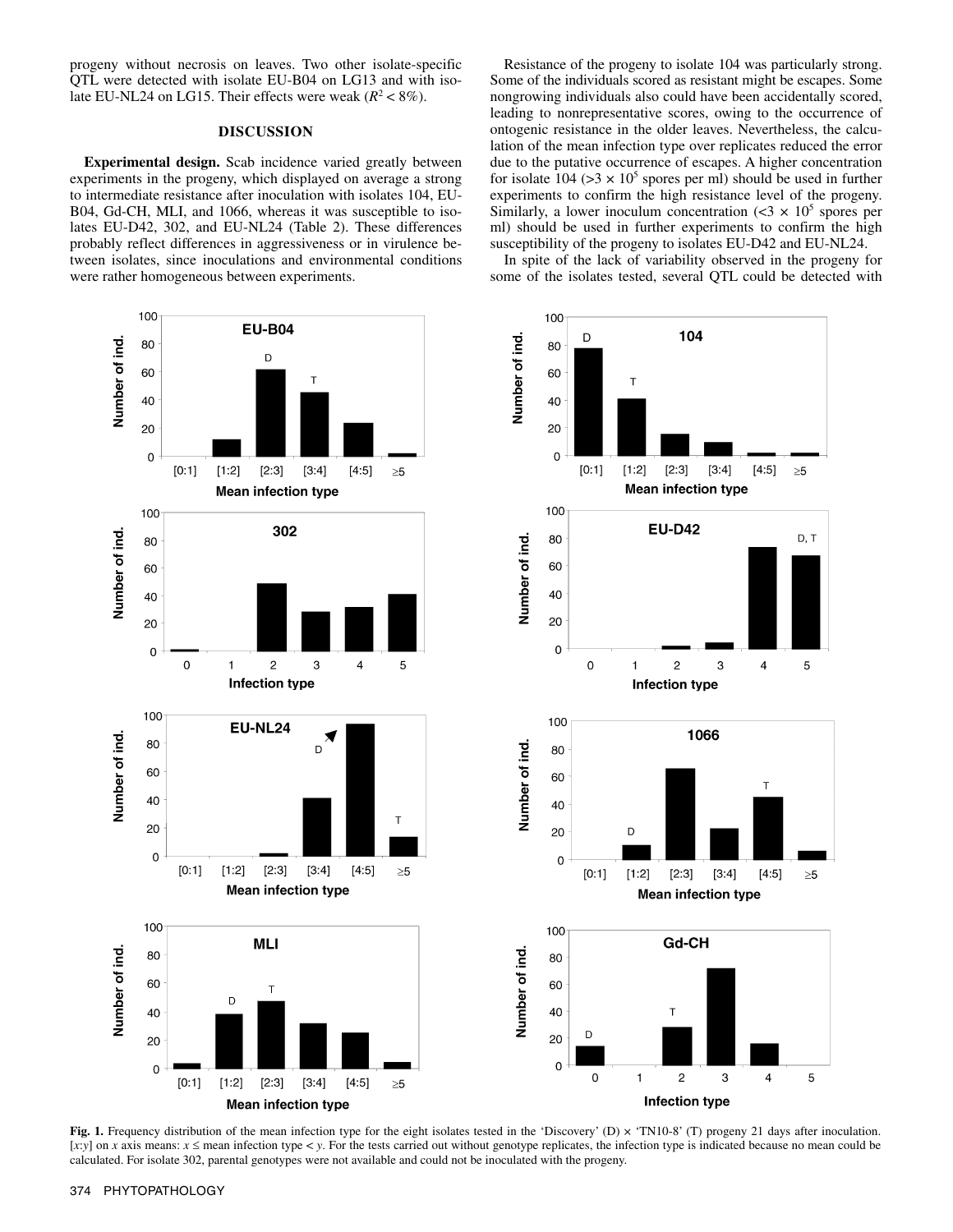progeny without necrosis on leaves. Two other isolate-specific QTL were detected with isolate EU-B04 on LG13 and with isolate EU-NL24 on LG15. Their effects were weak  $(R^2 < 8\%)$ .

## **DISCUSSION**

**Experimental design.** Scab incidence varied greatly between experiments in the progeny, which displayed on average a strong to intermediate resistance after inoculation with isolates 104, EU-B04, Gd-CH, MLI, and 1066, whereas it was susceptible to isolates EU-D42, 302, and EU-NL24 (Table 2). These differences probably reflect differences in aggressiveness or in virulence between isolates, since inoculations and environmental conditions were rather homogeneous between experiments.

Resistance of the progeny to isolate 104 was particularly strong. Some of the individuals scored as resistant might be escapes. Some nongrowing individuals also could have been accidentally scored, leading to nonrepresentative scores, owing to the occurrence of ontogenic resistance in the older leaves. Nevertheless, the calculation of the mean infection type over replicates reduced the error due to the putative occurrence of escapes. A higher concentration for isolate  $104$  ( $>3 \times 10^5$  spores per ml) should be used in further experiments to confirm the high resistance level of the progeny. Similarly, a lower inoculum concentration  $( $3 \times 10^5$  spores per)$ ml) should be used in further experiments to confirm the high susceptibility of the progeny to isolates EU-D42 and EU-NL24.

In spite of the lack of variability observed in the progeny for some of the isolates tested, several QTL could be detected with



Fig. 1. Frequency distribution of the mean infection type for the eight isolates tested in the 'Discovery' (D) × 'TN10-8' (T) progeny 21 days after inoculation. [*x*:*y*] on *x* axis means: *x* ≤ mean infection type < *y*. For the tests carried out without genotype replicates, the infection type is indicated because no mean could be calculated. For isolate 302, parental genotypes were not available and could not be inoculated with the progeny.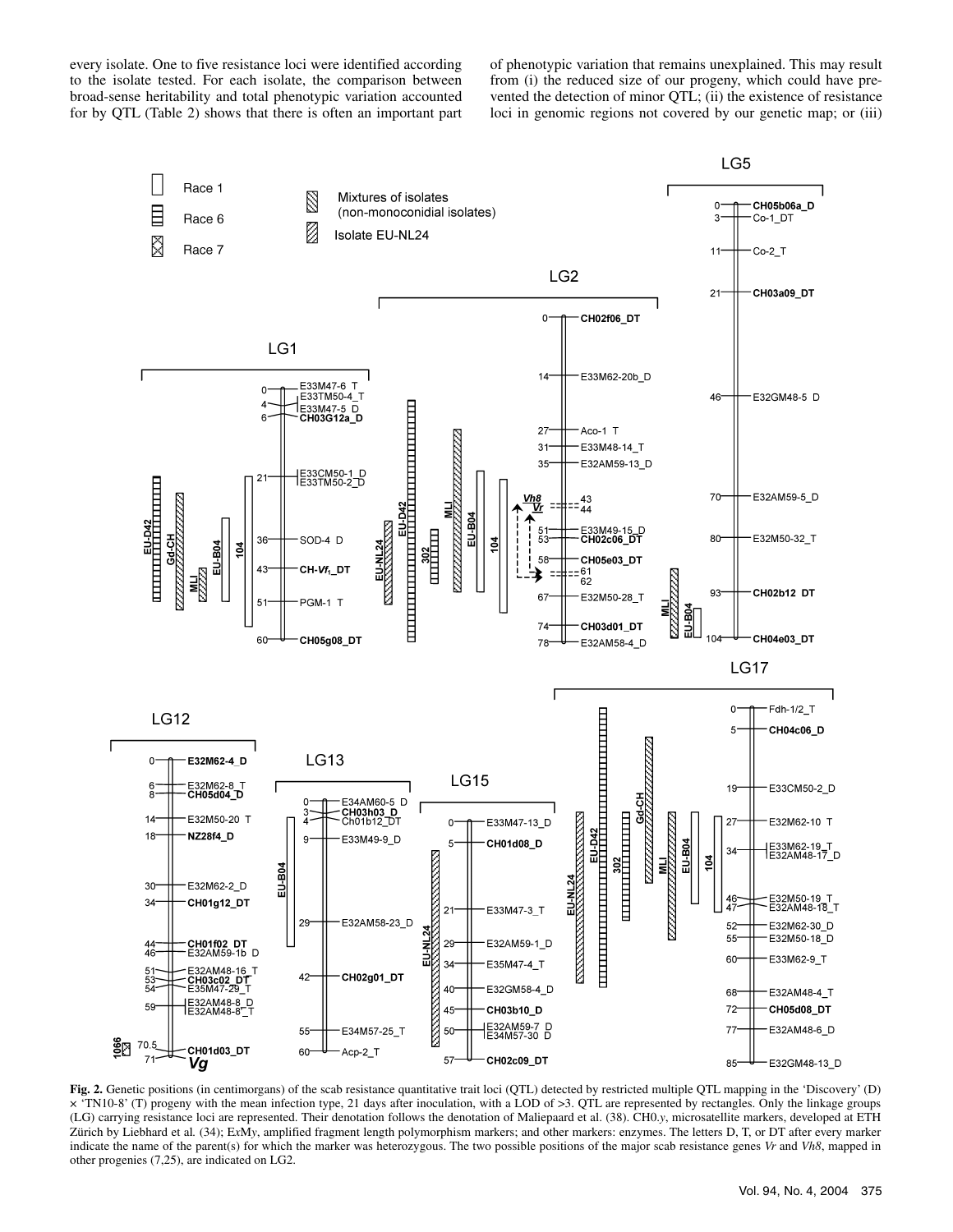every isolate. One to five resistance loci were identified according to the isolate tested. For each isolate, the comparison between broad-sense heritability and total phenotypic variation accounted for by QTL (Table 2) shows that there is often an important part of phenotypic variation that remains unexplained. This may result from (i) the reduced size of our progeny, which could have prevented the detection of minor QTL; (ii) the existence of resistance loci in genomic regions not covered by our genetic map; or (iii)



**Fig. 2.** Genetic positions (in centimorgans) of the scab resistance quantitative trait loci (QTL) detected by restricted multiple QTL mapping in the 'Discovery' (D) × 'TN10-8' (T) progeny with the mean infection type, 21 days after inoculation, with a LOD of >3. QTL are represented by rectangles. Only the linkage groups (LG) carrying resistance loci are represented. Their denotation follows the denotation of Maliepaard et al. (38). CH0.*y*, microsatellite markers, developed at ETH Zürich by Liebhard et al*.* (34); E*x*M*y*, amplified fragment length polymorphism markers; and other markers: enzymes. The letters D, T, or DT after every marker indicate the name of the parent(s) for which the marker was heterozygous. The two possible positions of the major scab resistance genes *Vr* and *Vh8*, mapped in other progenies (7,25), are indicated on LG2.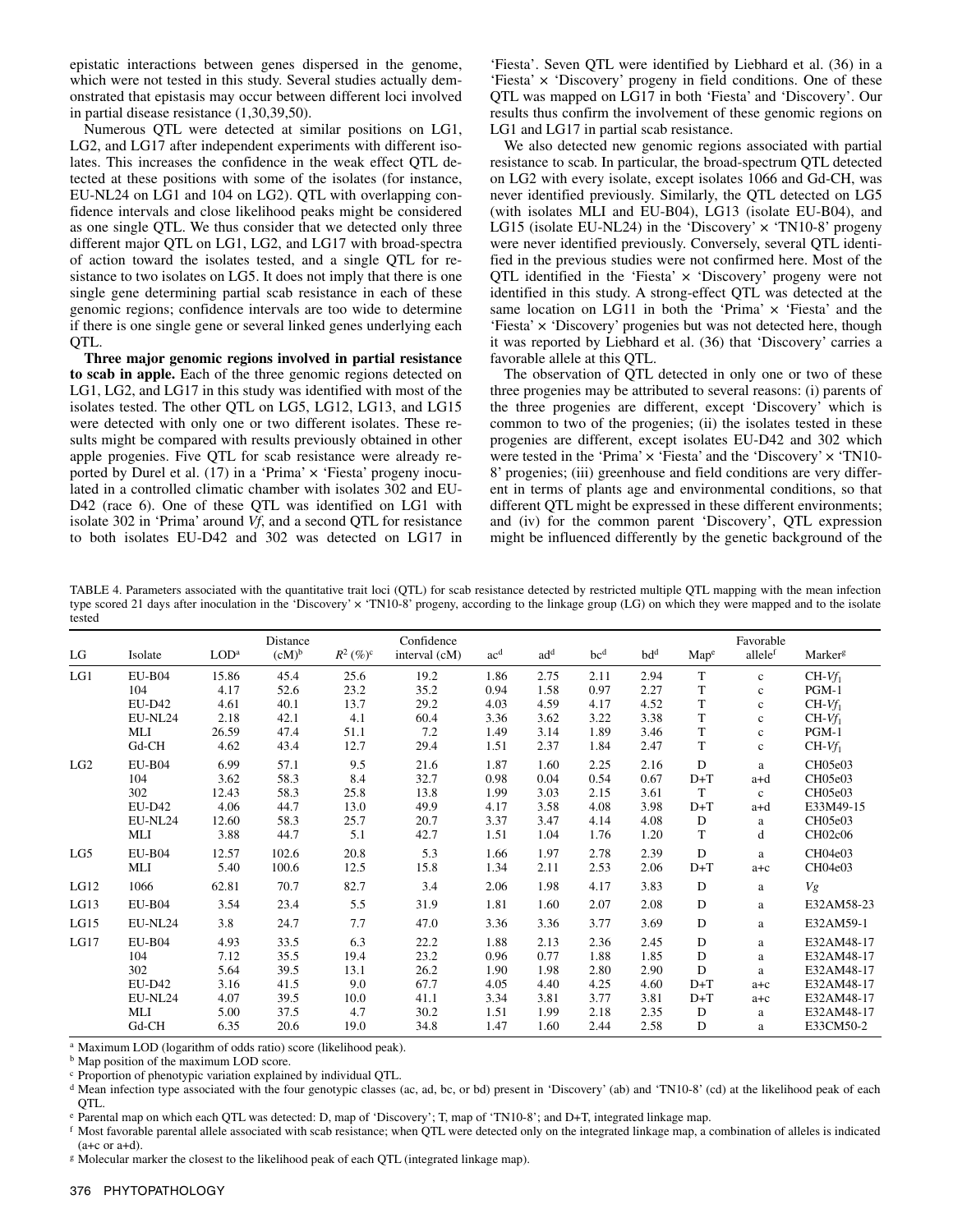epistatic interactions between genes dispersed in the genome, which were not tested in this study. Several studies actually demonstrated that epistasis may occur between different loci involved in partial disease resistance (1,30,39,50).

Numerous QTL were detected at similar positions on LG1, LG2, and LG17 after independent experiments with different isolates. This increases the confidence in the weak effect QTL detected at these positions with some of the isolates (for instance, EU-NL24 on LG1 and 104 on LG2). QTL with overlapping confidence intervals and close likelihood peaks might be considered as one single QTL. We thus consider that we detected only three different major QTL on LG1, LG2, and LG17 with broad-spectra of action toward the isolates tested, and a single QTL for resistance to two isolates on LG5. It does not imply that there is one single gene determining partial scab resistance in each of these genomic regions; confidence intervals are too wide to determine if there is one single gene or several linked genes underlying each QTL.

**Three major genomic regions involved in partial resistance to scab in apple.** Each of the three genomic regions detected on LG1, LG2, and LG17 in this study was identified with most of the isolates tested. The other QTL on LG5, LG12, LG13, and LG15 were detected with only one or two different isolates. These results might be compared with results previously obtained in other apple progenies. Five QTL for scab resistance were already reported by Durel et al.  $(17)$  in a 'Prima'  $\times$  'Fiesta' progeny inoculated in a controlled climatic chamber with isolates 302 and EU-D42 (race 6). One of these QTL was identified on LG1 with isolate 302 in 'Prima' around *Vf*, and a second QTL for resistance to both isolates EU-D42 and 302 was detected on LG17 in

'Fiesta'. Seven QTL were identified by Liebhard et al. (36) in a 'Fiesta' × 'Discovery' progeny in field conditions. One of these QTL was mapped on LG17 in both 'Fiesta' and 'Discovery'. Our results thus confirm the involvement of these genomic regions on LG1 and LG17 in partial scab resistance.

We also detected new genomic regions associated with partial resistance to scab. In particular, the broad-spectrum QTL detected on LG2 with every isolate, except isolates 1066 and Gd-CH, was never identified previously. Similarly, the QTL detected on LG5 (with isolates MLI and EU-B04), LG13 (isolate EU-B04), and LG15 (isolate EU-NL24) in the 'Discovery'  $\times$  'TN10-8' progeny were never identified previously. Conversely, several QTL identified in the previous studies were not confirmed here. Most of the QTL identified in the 'Fiesta'  $\times$  'Discovery' progeny were not identified in this study. A strong-effect QTL was detected at the same location on LG11 in both the 'Prima'  $\times$  'Fiesta' and the 'Fiesta' × 'Discovery' progenies but was not detected here, though it was reported by Liebhard et al. (36) that 'Discovery' carries a favorable allele at this QTL.

The observation of QTL detected in only one or two of these three progenies may be attributed to several reasons: (i) parents of the three progenies are different, except 'Discovery' which is common to two of the progenies; (ii) the isolates tested in these progenies are different, except isolates EU-D42 and 302 which were tested in the 'Prima'  $\times$  'Fiesta' and the 'Discovery'  $\times$  'TN10-8' progenies; (iii) greenhouse and field conditions are very different in terms of plants age and environmental conditions, so that different QTL might be expressed in these different environments; and (iv) for the common parent 'Discovery', QTL expression might be influenced differently by the genetic background of the

TABLE 4. Parameters associated with the quantitative trait loci (QTL) for scab resistance detected by restricted multiple QTL mapping with the mean infection type scored 21 days after inoculation in the 'Discovery' x 'TN10-8' progeny, according to the linkage group (LG) on which they were mapped and to the isolate tested

|      |               |                  | Distance |                        | Confidence    |                 |                 |                 |                 |              | Favorable    |                     |
|------|---------------|------------------|----------|------------------------|---------------|-----------------|-----------------|-----------------|-----------------|--------------|--------------|---------------------|
| LG   | Isolate       | LOD <sup>a</sup> | $(cM)^b$ | $R^2$ (%) <sup>c</sup> | interval (cM) | ac <sup>d</sup> | ad <sup>d</sup> | bc <sup>d</sup> | bd <sup>d</sup> | Mape         | allelef      | Marker <sup>g</sup> |
| LG1  | $EU-B04$      | 15.86            | 45.4     | 25.6                   | 19.2          | 1.86            | 2.75            | 2.11            | 2.94            | T            | $\mathbf{c}$ | $CH-Vf_1$           |
|      | 104           | 4.17             | 52.6     | 23.2                   | 35.2          | 0.94            | 1.58            | 0.97            | 2.27            | T            | $\mathbf c$  | $PGM-1$             |
|      | <b>EU-D42</b> | 4.61             | 40.1     | 13.7                   | 29.2          | 4.03            | 4.59            | 4.17            | 4.52            | T            | $\mathbf{c}$ | $CH-Vf_1$           |
|      | EU-NL24       | 2.18             | 42.1     | 4.1                    | 60.4          | 3.36            | 3.62            | 3.22            | 3.38            | T            | $\mathbf{c}$ | $CH-Vf_1$           |
|      | MLI           | 26.59            | 47.4     | 51.1                   | 7.2           | 1.49            | 3.14            | 1.89            | 3.46            | $\mathbf T$  | $\mathbf c$  | $PGM-1$             |
|      | Gd-CH         | 4.62             | 43.4     | 12.7                   | 29.4          | 1.51            | 2.37            | 1.84            | 2.47            | $\mathbf T$  | $\mathbf c$  | $CH-Vf_1$           |
| LG2  | $EU-B04$      | 6.99             | 57.1     | 9.5                    | 21.6          | 1.87            | 1.60            | 2.25            | 2.16            | $\mathbf{D}$ | a            | CH05e03             |
|      | 104           | 3.62             | 58.3     | 8.4                    | 32.7          | 0.98            | 0.04            | 0.54            | 0.67            | $D+T$        | $a+d$        | CH05e03             |
|      | 302           | 12.43            | 58.3     | 25.8                   | 13.8          | 1.99            | 3.03            | 2.15            | 3.61            | T            | $\mathbf{c}$ | CH05e03             |
|      | <b>EU-D42</b> | 4.06             | 44.7     | 13.0                   | 49.9          | 4.17            | 3.58            | 4.08            | 3.98            | $D+T$        | a+d          | E33M49-15           |
|      | EU-NL24       | 12.60            | 58.3     | 25.7                   | 20.7          | 3.37            | 3.47            | 4.14            | 4.08            | D            | a            | CH05e03             |
|      | MLI           | 3.88             | 44.7     | 5.1                    | 42.7          | 1.51            | 1.04            | 1.76            | 1.20            | $\mathbf T$  | d            | CH02c06             |
| LG5  | $EU-B04$      | 12.57            | 102.6    | 20.8                   | 5.3           | 1.66            | 1.97            | 2.78            | 2.39            | D            | a            | CH04e03             |
|      | MLI           | 5.40             | 100.6    | 12.5                   | 15.8          | 1.34            | 2.11            | 2.53            | 2.06            | $D+T$        | $a + c$      | CH04e03             |
| LG12 | 1066          | 62.81            | 70.7     | 82.7                   | 3.4           | 2.06            | 1.98            | 4.17            | 3.83            | D            | a            | Vg                  |
| LG13 | $EU-B04$      | 3.54             | 23.4     | 5.5                    | 31.9          | 1.81            | 1.60            | 2.07            | 2.08            | D            | a            | E32AM58-23          |
| LG15 | EU-NL24       | 3.8              | 24.7     | 7.7                    | 47.0          | 3.36            | 3.36            | 3.77            | 3.69            | $\mathbf D$  | a            | E32AM59-1           |
| LG17 | $EU-B04$      | 4.93             | 33.5     | 6.3                    | 22.2          | 1.88            | 2.13            | 2.36            | 2.45            | D            | a            | E32AM48-17          |
|      | 104           | 7.12             | 35.5     | 19.4                   | 23.2          | 0.96            | 0.77            | 1.88            | 1.85            | $\mathbf D$  | a            | E32AM48-17          |
|      | 302           | 5.64             | 39.5     | 13.1                   | 26.2          | 1.90            | 1.98            | 2.80            | 2.90            | D            | a            | E32AM48-17          |
|      | <b>EU-D42</b> | 3.16             | 41.5     | 9.0                    | 67.7          | 4.05            | 4.40            | 4.25            | 4.60            | $D+T$        | $a + c$      | E32AM48-17          |
|      | EU-NL24       | 4.07             | 39.5     | 10.0                   | 41.1          | 3.34            | 3.81            | 3.77            | 3.81            | $D+T$        | $a + c$      | E32AM48-17          |
|      | MLI           | 5.00             | 37.5     | 4.7                    | 30.2          | 1.51            | 1.99            | 2.18            | 2.35            | D            | a            | E32AM48-17          |
|      | $Gd$ -CH      | 6.35             | 20.6     | 19.0                   | 34.8          | 1.47            | 1.60            | 2.44            | 2.58            | D            | a            | E33CM50-2           |

a Maximum LOD (logarithm of odds ratio) score (likelihood peak).

b Map position of the maximum LOD score.

c Proportion of phenotypic variation explained by individual QTL.

<sup>d</sup> Mean infection type associated with the four genotypic classes (ac, ad, bc, or bd) present in 'Discovery' (ab) and 'TN10-8' (cd) at the likelihood peak of each QTL.

<sup>e</sup> Parental map on which each QTL was detected: D, map of 'Discovery'; T, map of 'TN10-8'; and D+T, integrated linkage map.<br><sup>f</sup> Most favorable parental allele associated with scab resistance; when QTL were detected only o  $(a+c \text{ or } a+d)$ .

<sup>g</sup> Molecular marker the closest to the likelihood peak of each QTL (integrated linkage map).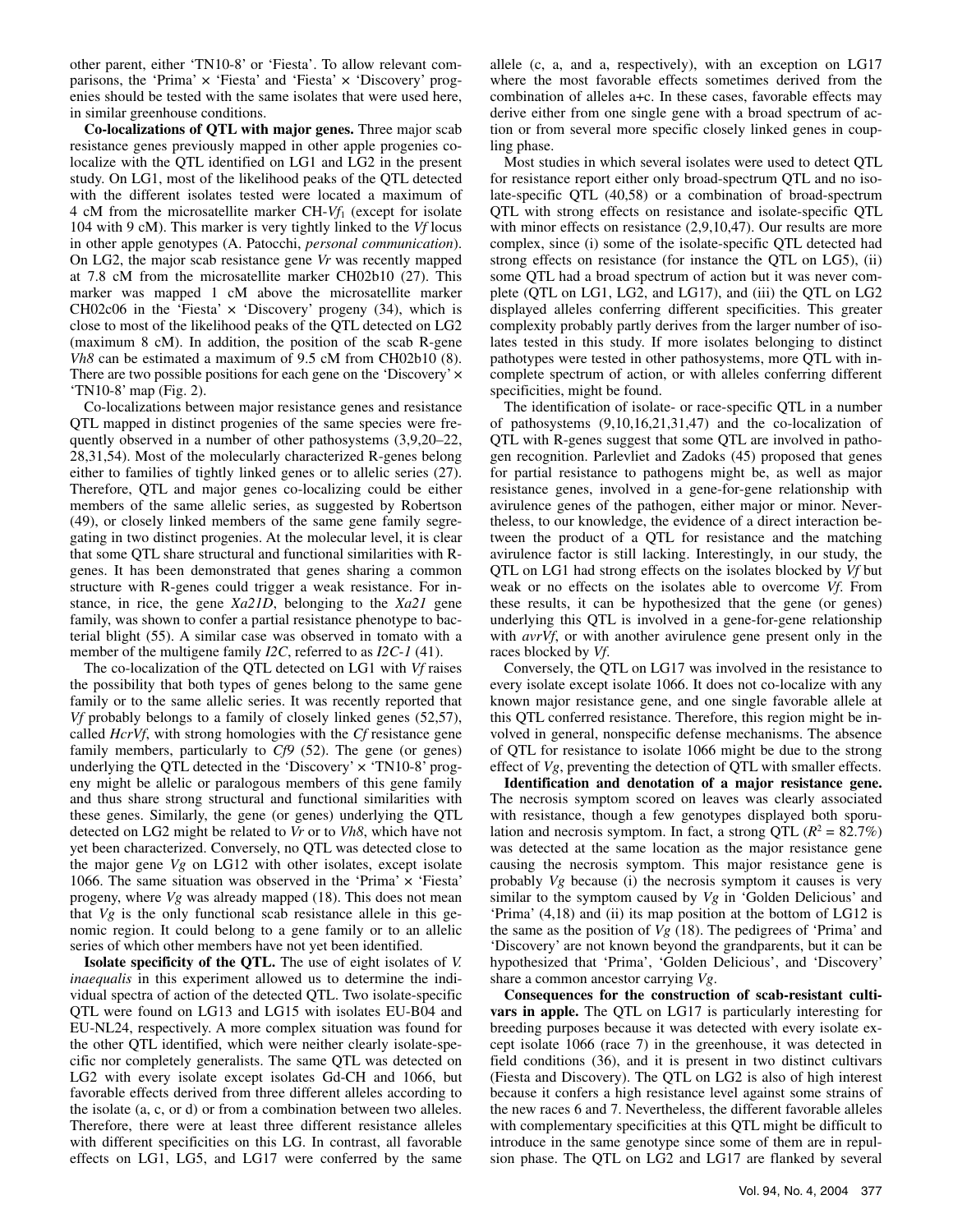other parent, either 'TN10-8' or 'Fiesta'. To allow relevant comparisons, the 'Prima' x 'Fiesta' and 'Fiesta' x 'Discovery' progenies should be tested with the same isolates that were used here, in similar greenhouse conditions.

**Co-localizations of QTL with major genes.** Three major scab resistance genes previously mapped in other apple progenies colocalize with the QTL identified on LG1 and LG2 in the present study. On LG1, most of the likelihood peaks of the QTL detected with the different isolates tested were located a maximum of 4 cM from the microsatellite marker CH-*Vf*1 (except for isolate 104 with 9 cM). This marker is very tightly linked to the *Vf* locus in other apple genotypes (A. Patocchi, *personal communication*). On LG2, the major scab resistance gene *Vr* was recently mapped at 7.8 cM from the microsatellite marker CH02b10 (27). This marker was mapped 1 cM above the microsatellite marker CH02c06 in the 'Fiesta'  $\times$  'Discovery' progeny (34), which is close to most of the likelihood peaks of the QTL detected on LG2 (maximum 8 cM). In addition, the position of the scab R-gene *Vh8* can be estimated a maximum of 9.5 cM from CH02b10 (8). There are two possible positions for each gene on the 'Discovery'  $\times$ 'TN10-8' map (Fig. 2).

Co-localizations between major resistance genes and resistance QTL mapped in distinct progenies of the same species were frequently observed in a number of other pathosystems (3,9,20–22, 28,31,54). Most of the molecularly characterized R-genes belong either to families of tightly linked genes or to allelic series (27). Therefore, QTL and major genes co-localizing could be either members of the same allelic series, as suggested by Robertson (49), or closely linked members of the same gene family segregating in two distinct progenies. At the molecular level, it is clear that some QTL share structural and functional similarities with Rgenes. It has been demonstrated that genes sharing a common structure with R-genes could trigger a weak resistance. For instance, in rice, the gene *Xa21D*, belonging to the *Xa21* gene family, was shown to confer a partial resistance phenotype to bacterial blight (55). A similar case was observed in tomato with a member of the multigene family *I2C*, referred to as *I2C*-*1* (41).

The co-localization of the QTL detected on LG1 with *Vf* raises the possibility that both types of genes belong to the same gene family or to the same allelic series. It was recently reported that *Vf* probably belongs to a family of closely linked genes (52,57), called *HcrVf*, with strong homologies with the *Cf* resistance gene family members, particularly to *Cf9* (52). The gene (or genes) underlying the QTL detected in the 'Discovery'  $\times$  'TN10-8' progeny might be allelic or paralogous members of this gene family and thus share strong structural and functional similarities with these genes. Similarly, the gene (or genes) underlying the QTL detected on LG2 might be related to *Vr* or to *Vh8*, which have not yet been characterized. Conversely, no QTL was detected close to the major gene *Vg* on LG12 with other isolates, except isolate 1066. The same situation was observed in the 'Prima' × 'Fiesta' progeny, where *Vg* was already mapped (18). This does not mean that *Vg* is the only functional scab resistance allele in this genomic region. It could belong to a gene family or to an allelic series of which other members have not yet been identified.

**Isolate specificity of the QTL.** The use of eight isolates of *V. inaequalis* in this experiment allowed us to determine the individual spectra of action of the detected QTL. Two isolate-specific QTL were found on LG13 and LG15 with isolates EU-B04 and EU-NL24, respectively. A more complex situation was found for the other QTL identified, which were neither clearly isolate-specific nor completely generalists. The same QTL was detected on LG2 with every isolate except isolates Gd-CH and 1066, but favorable effects derived from three different alleles according to the isolate (a, c, or d) or from a combination between two alleles. Therefore, there were at least three different resistance alleles with different specificities on this LG. In contrast, all favorable effects on LG1, LG5, and LG17 were conferred by the same

allele (c, a, and a, respectively), with an exception on LG17 where the most favorable effects sometimes derived from the combination of alleles a+c. In these cases, favorable effects may derive either from one single gene with a broad spectrum of action or from several more specific closely linked genes in coupling phase.

Most studies in which several isolates were used to detect QTL for resistance report either only broad-spectrum QTL and no isolate-specific QTL (40,58) or a combination of broad-spectrum QTL with strong effects on resistance and isolate-specific QTL with minor effects on resistance  $(2,9,10,47)$ . Our results are more complex, since (i) some of the isolate-specific QTL detected had strong effects on resistance (for instance the QTL on LG5), (ii) some QTL had a broad spectrum of action but it was never complete (QTL on LG1, LG2, and LG17), and (iii) the QTL on LG2 displayed alleles conferring different specificities. This greater complexity probably partly derives from the larger number of isolates tested in this study. If more isolates belonging to distinct pathotypes were tested in other pathosystems, more QTL with incomplete spectrum of action, or with alleles conferring different specificities, might be found.

The identification of isolate- or race-specific QTL in a number of pathosystems (9,10,16,21,31,47) and the co-localization of QTL with R-genes suggest that some QTL are involved in pathogen recognition. Parlevliet and Zadoks (45) proposed that genes for partial resistance to pathogens might be, as well as major resistance genes, involved in a gene-for-gene relationship with avirulence genes of the pathogen, either major or minor. Nevertheless, to our knowledge, the evidence of a direct interaction between the product of a QTL for resistance and the matching avirulence factor is still lacking. Interestingly, in our study, the QTL on LG1 had strong effects on the isolates blocked by *Vf* but weak or no effects on the isolates able to overcome *Vf*. From these results, it can be hypothesized that the gene (or genes) underlying this QTL is involved in a gene-for-gene relationship with *avrVf*, or with another avirulence gene present only in the races blocked by *Vf*.

Conversely, the QTL on LG17 was involved in the resistance to every isolate except isolate 1066. It does not co-localize with any known major resistance gene, and one single favorable allele at this QTL conferred resistance. Therefore, this region might be involved in general, nonspecific defense mechanisms. The absence of QTL for resistance to isolate 1066 might be due to the strong effect of *Vg*, preventing the detection of QTL with smaller effects.

**Identification and denotation of a major resistance gene.**  The necrosis symptom scored on leaves was clearly associated with resistance, though a few genotypes displayed both sporulation and necrosis symptom. In fact, a strong QTL  $(R^2 = 82.7\%)$ was detected at the same location as the major resistance gene causing the necrosis symptom. This major resistance gene is probably *Vg* because (i) the necrosis symptom it causes is very similar to the symptom caused by *Vg* in 'Golden Delicious' and 'Prima' (4,18) and (ii) its map position at the bottom of LG12 is the same as the position of *Vg* (18). The pedigrees of 'Prima' and 'Discovery' are not known beyond the grandparents, but it can be hypothesized that 'Prima', 'Golden Delicious', and 'Discovery' share a common ancestor carrying *Vg*.

**Consequences for the construction of scab-resistant cultivars in apple.** The QTL on LG17 is particularly interesting for breeding purposes because it was detected with every isolate except isolate 1066 (race 7) in the greenhouse, it was detected in field conditions (36), and it is present in two distinct cultivars (Fiesta and Discovery). The QTL on LG2 is also of high interest because it confers a high resistance level against some strains of the new races 6 and 7. Nevertheless, the different favorable alleles with complementary specificities at this QTL might be difficult to introduce in the same genotype since some of them are in repulsion phase. The QTL on LG2 and LG17 are flanked by several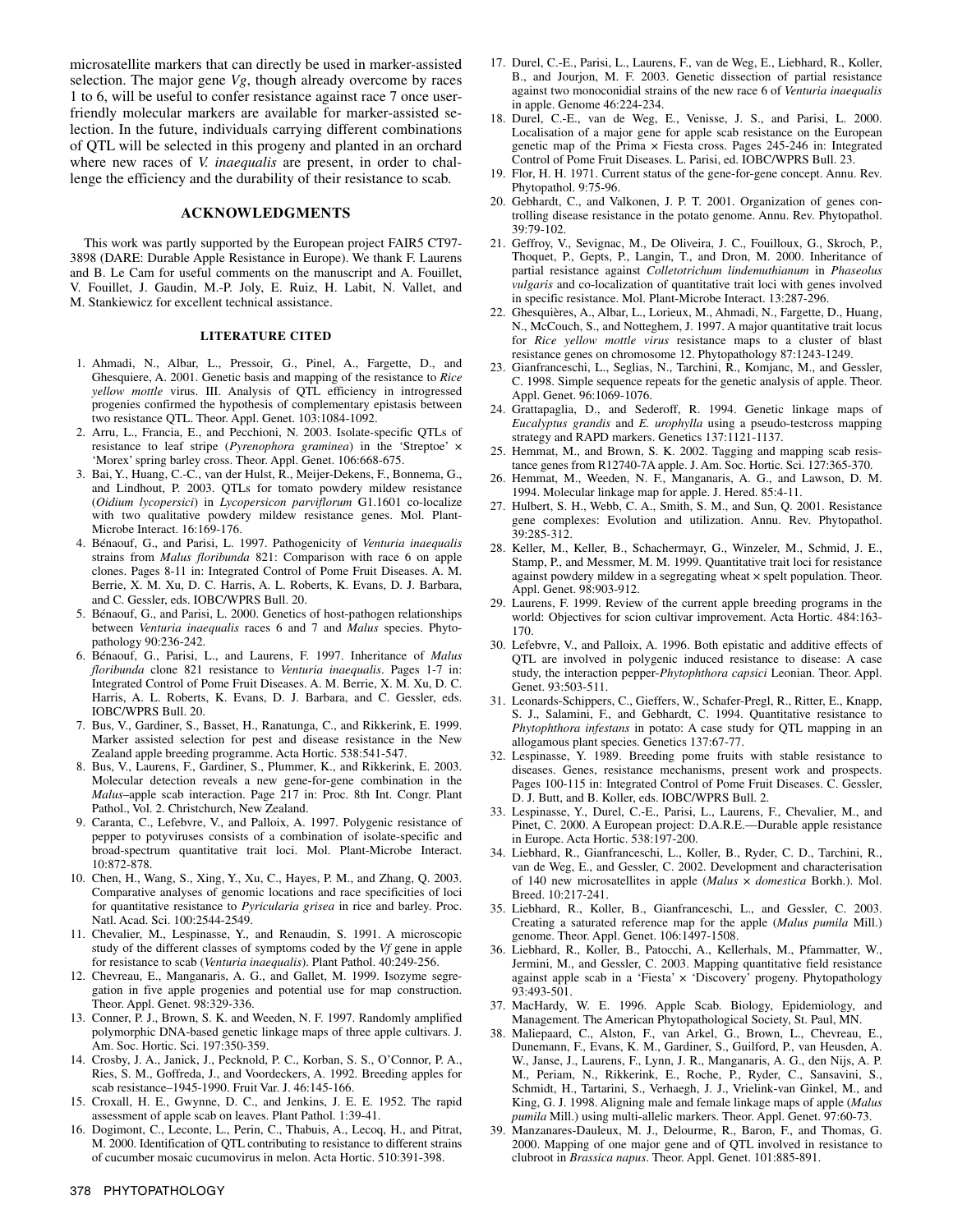microsatellite markers that can directly be used in marker-assisted selection. The major gene *Vg*, though already overcome by races 1 to 6, will be useful to confer resistance against race 7 once userfriendly molecular markers are available for marker-assisted selection. In the future, individuals carrying different combinations of QTL will be selected in this progeny and planted in an orchard where new races of *V. inaequalis* are present, in order to challenge the efficiency and the durability of their resistance to scab.

#### **ACKNOWLEDGMENTS**

This work was partly supported by the European project FAIR5 CT97- 3898 (DARE: Durable Apple Resistance in Europe). We thank F. Laurens and B. Le Cam for useful comments on the manuscript and A. Fouillet, V. Fouillet, J. Gaudin, M.-P. Joly, E. Ruiz, H. Labit, N. Vallet, and M. Stankiewicz for excellent technical assistance.

#### **LITERATURE CITED**

- 1. Ahmadi, N., Albar, L., Pressoir, G., Pinel, A., Fargette, D., and Ghesquiere, A. 2001. Genetic basis and mapping of the resistance to *Rice yellow mottle* virus. III. Analysis of QTL efficiency in introgressed progenies confirmed the hypothesis of complementary epistasis between two resistance QTL. Theor. Appl. Genet. 103:1084-1092.
- 2. Arru, L., Francia, E., and Pecchioni, N. 2003. Isolate-specific QTLs of resistance to leaf stripe (*Pyrenophora graminea*) in the 'Streptoe' × 'Morex' spring barley cross. Theor. Appl. Genet. 106:668-675.
- 3. Bai, Y., Huang, C.-C., van der Hulst, R., Meijer-Dekens, F., Bonnema, G., and Lindhout, P. 2003. QTLs for tomato powdery mildew resistance (*Oidium lycopersici*) in *Lycopersicon parviflorum* G1.1601 co-localize with two qualitative powdery mildew resistance genes. Mol. Plant-Microbe Interact. 16:169-176.
- 4. Bénaouf, G., and Parisi, L. 1997. Pathogenicity of *Venturia inaequalis* strains from *Malus floribunda* 821: Comparison with race 6 on apple clones. Pages 8-11 in: Integrated Control of Pome Fruit Diseases. A. M. Berrie, X. M. Xu, D. C. Harris, A. L. Roberts, K. Evans, D. J. Barbara, and C. Gessler, eds. IOBC/WPRS Bull. 20.
- 5. Bénaouf, G., and Parisi, L. 2000. Genetics of host-pathogen relationships between *Venturia inaequalis* races 6 and 7 and *Malus* species. Phytopathology 90:236-242.
- 6. Bénaouf, G., Parisi, L., and Laurens, F. 1997. Inheritance of *Malus floribunda* clone 821 resistance to *Venturia inaequalis*. Pages 1-7 in: Integrated Control of Pome Fruit Diseases. A. M. Berrie, X. M. Xu, D. C. Harris, A. L. Roberts, K. Evans, D. J. Barbara, and C. Gessler, eds. IOBC/WPRS Bull. 20.
- 7. Bus, V., Gardiner, S., Basset, H., Ranatunga, C., and Rikkerink, E. 1999. Marker assisted selection for pest and disease resistance in the New Zealand apple breeding programme. Acta Hortic. 538:541-547.
- 8. Bus, V., Laurens, F., Gardiner, S., Plummer, K., and Rikkerink, E. 2003. Molecular detection reveals a new gene-for-gene combination in the *Malus*–apple scab interaction. Page 217 in: Proc. 8th Int. Congr. Plant Pathol., Vol. 2. Christchurch, New Zealand.
- 9. Caranta, C., Lefebvre, V., and Palloix, A. 1997. Polygenic resistance of pepper to potyviruses consists of a combination of isolate-specific and broad-spectrum quantitative trait loci. Mol. Plant-Microbe Interact. 10:872-878.
- 10. Chen, H., Wang, S., Xing, Y., Xu, C., Hayes, P. M., and Zhang, Q. 2003. Comparative analyses of genomic locations and race specificities of loci for quantitative resistance to *Pyricularia grisea* in rice and barley. Proc. Natl. Acad. Sci. 100:2544-2549.
- 11. Chevalier, M., Lespinasse, Y., and Renaudin, S. 1991. A microscopic study of the different classes of symptoms coded by the *Vf* gene in apple for resistance to scab (*Venturia inaequalis*). Plant Pathol. 40:249-256.
- 12. Chevreau, E., Manganaris, A. G., and Gallet, M. 1999. Isozyme segregation in five apple progenies and potential use for map construction. Theor. Appl. Genet. 98:329-336.
- 13. Conner, P. J., Brown, S. K. and Weeden, N. F. 1997. Randomly amplified polymorphic DNA-based genetic linkage maps of three apple cultivars. J. Am. Soc. Hortic. Sci. 197:350-359.
- 14. Crosby, J. A., Janick, J., Pecknold, P. C., Korban, S. S., O'Connor, P. A., Ries, S. M., Goffreda, J., and Voordeckers, A. 1992. Breeding apples for scab resistance–1945-1990. Fruit Var. J. 46:145-166.
- 15. Croxall, H. E., Gwynne, D. C., and Jenkins, J. E. E. 1952. The rapid assessment of apple scab on leaves. Plant Pathol. 1:39-41.
- 16. Dogimont, C., Leconte, L., Perin, C., Thabuis, A., Lecoq, H., and Pitrat, M. 2000. Identification of QTL contributing to resistance to different strains of cucumber mosaic cucumovirus in melon. Acta Hortic. 510:391-398.
- 17. Durel, C.-E., Parisi, L., Laurens, F., van de Weg, E., Liebhard, R., Koller, B., and Jourjon, M. F. 2003. Genetic dissection of partial resistance against two monoconidial strains of the new race 6 of *Venturia inaequalis* in apple. Genome 46:224-234.
- 18. Durel, C.-E., van de Weg, E., Venisse, J. S., and Parisi, L. 2000. Localisation of a major gene for apple scab resistance on the European genetic map of the Prima × Fiesta cross. Pages 245-246 in: Integrated Control of Pome Fruit Diseases. L. Parisi, ed. IOBC/WPRS Bull. 23.
- 19. Flor, H. H. 1971. Current status of the gene-for-gene concept. Annu. Rev. Phytopathol. 9:75-96.
- 20. Gebhardt, C., and Valkonen, J. P. T. 2001. Organization of genes controlling disease resistance in the potato genome. Annu. Rev. Phytopathol. 39:79-102.
- 21. Geffroy, V., Sevignac, M., De Oliveira, J. C., Fouilloux, G., Skroch, P., Thoquet, P., Gepts, P., Langin, T., and Dron, M. 2000. Inheritance of partial resistance against *Colletotrichum lindemuthianum* in *Phaseolus vulgaris* and co-localization of quantitative trait loci with genes involved in specific resistance. Mol. Plant-Microbe Interact. 13:287-296.
- 22. Ghesquières, A., Albar, L., Lorieux, M., Ahmadi, N., Fargette, D., Huang, N., McCouch, S., and Notteghem, J. 1997. A major quantitative trait locus for *Rice yellow mottle virus* resistance maps to a cluster of blast resistance genes on chromosome 12. Phytopathology 87:1243-1249.
- 23. Gianfranceschi, L., Seglias, N., Tarchini, R., Komjanc, M., and Gessler, C. 1998. Simple sequence repeats for the genetic analysis of apple. Theor. Appl. Genet. 96:1069-1076.
- 24. Grattapaglia, D., and Sederoff, R. 1994. Genetic linkage maps of *Eucalyptus grandis* and *E. urophylla* using a pseudo-testcross mapping strategy and RAPD markers. Genetics 137:1121-1137.
- 25. Hemmat, M., and Brown, S. K. 2002. Tagging and mapping scab resistance genes from R12740-7A apple. J. Am. Soc. Hortic. Sci. 127:365-370.
- 26. Hemmat, M., Weeden, N. F., Manganaris, A. G., and Lawson, D. M. 1994. Molecular linkage map for apple. J. Hered. 85:4-11.
- 27. Hulbert, S. H., Webb, C. A., Smith, S. M., and Sun, Q. 2001. Resistance gene complexes: Evolution and utilization. Annu. Rev. Phytopathol. 39:285-312.
- 28. Keller, M., Keller, B., Schachermayr, G., Winzeler, M., Schmid, J. E., Stamp, P., and Messmer, M. M. 1999. Quantitative trait loci for resistance against powdery mildew in a segregating wheat × spelt population. Theor. Appl. Genet. 98:903-912.
- 29. Laurens, F. 1999. Review of the current apple breeding programs in the world: Objectives for scion cultivar improvement. Acta Hortic. 484:163- 170.
- 30. Lefebvre, V., and Palloix, A. 1996. Both epistatic and additive effects of QTL are involved in polygenic induced resistance to disease: A case study, the interaction pepper-*Phytophthora capsici* Leonian. Theor. Appl. Genet. 93:503-511.
- 31. Leonards-Schippers, C., Gieffers, W., Schafer-Pregl, R., Ritter, E., Knapp, S. J., Salamini, F., and Gebhardt, C. 1994. Quantitative resistance to *Phytophthora infestans* in potato: A case study for QTL mapping in an allogamous plant species. Genetics 137:67-77.
- 32. Lespinasse, Y. 1989. Breeding pome fruits with stable resistance to diseases. Genes, resistance mechanisms, present work and prospects. Pages 100-115 in: Integrated Control of Pome Fruit Diseases. C. Gessler, D. J. Butt, and B. Koller, eds. IOBC/WPRS Bull. 2.
- 33. Lespinasse, Y., Durel, C.-E., Parisi, L., Laurens, F., Chevalier, M., and Pinet, C. 2000. A European project: D.A.R.E.—Durable apple resistance in Europe. Acta Hortic. 538:197-200.
- 34. Liebhard, R., Gianfranceschi, L., Koller, B., Ryder, C. D., Tarchini, R., van de Weg, E., and Gessler, C. 2002. Development and characterisation of 140 new microsatellites in apple (*Malus* × *domestica* Borkh.). Mol. Breed. 10:217-241.
- 35. Liebhard, R., Koller, B., Gianfranceschi, L., and Gessler, C. 2003. Creating a saturated reference map for the apple (*Malus pumila* Mill.) genome. Theor. Appl. Genet. 106:1497-1508.
- 36. Liebhard, R., Koller, B., Patocchi, A., Kellerhals, M., Pfammatter, W., Jermini, M., and Gessler, C. 2003. Mapping quantitative field resistance against apple scab in a 'Fiesta' × 'Discovery' progeny. Phytopathology 93:493-501.
- 37. MacHardy, W. E. 1996. Apple Scab. Biology, Epidemiology, and Management. The American Phytopathological Society, St. Paul, MN.
- 38. Maliepaard, C., Alston, F., van Arkel, G., Brown, L., Chevreau, E., Dunemann, F., Evans, K. M., Gardiner, S., Guilford, P., van Heusden, A. W., Janse, J., Laurens, F., Lynn, J. R., Manganaris, A. G., den Nijs, A. P. M., Periam, N., Rikkerink, E., Roche, P., Ryder, C., Sansavini, S., Schmidt, H., Tartarini, S., Verhaegh, J. J., Vrielink-van Ginkel, M., and King, G. J. 1998. Aligning male and female linkage maps of apple (*Malus pumila* Mill.) using multi-allelic markers. Theor. Appl. Genet. 97:60-73.
- 39. Manzanares-Dauleux, M. J., Delourme, R., Baron, F., and Thomas, G. 2000. Mapping of one major gene and of QTL involved in resistance to clubroot in *Brassica napus*. Theor. Appl. Genet. 101:885-891.